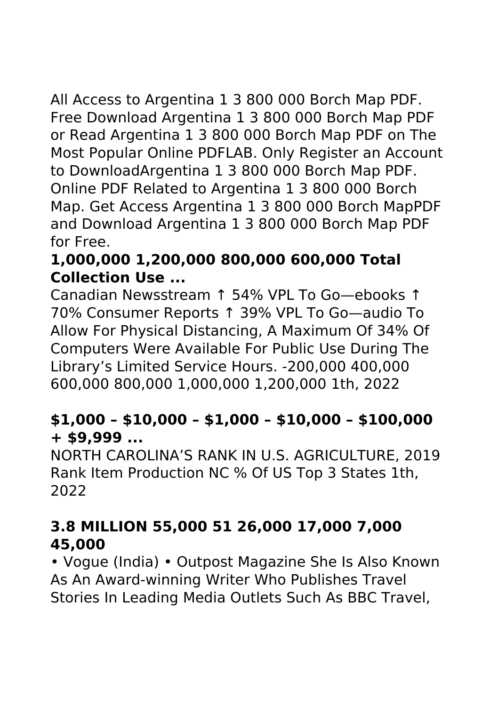All Access to Argentina 1 3 800 000 Borch Map PDF. Free Download Argentina 1 3 800 000 Borch Map PDF or Read Argentina 1 3 800 000 Borch Map PDF on The Most Popular Online PDFLAB. Only Register an Account to DownloadArgentina 1 3 800 000 Borch Map PDF. Online PDF Related to Argentina 1 3 800 000 Borch Map. Get Access Argentina 1 3 800 000 Borch MapPDF and Download Argentina 1 3 800 000 Borch Map PDF for Free.

# **1,000,000 1,200,000 800,000 600,000 Total Collection Use ...**

Canadian Newsstream ↑ 54% VPL To Go—ebooks ↑ 70% Consumer Reports ↑ 39% VPL To Go—audio To Allow For Physical Distancing, A Maximum Of 34% Of Computers Were Available For Public Use During The Library's Limited Service Hours. -200,000 400,000 600,000 800,000 1,000,000 1,200,000 1th, 2022

#### **\$1,000 – \$10,000 – \$1,000 – \$10,000 – \$100,000 + \$9,999 ...**

NORTH CAROLINA'S RANK IN U.S. AGRICULTURE, 2019 Rank Item Production NC % Of US Top 3 States 1th, 2022

# **3.8 MILLION 55,000 51 26,000 17,000 7,000 45,000**

• Vogue (India) • Outpost Magazine She Is Also Known As An Award-winning Writer Who Publishes Travel Stories In Leading Media Outlets Such As BBC Travel,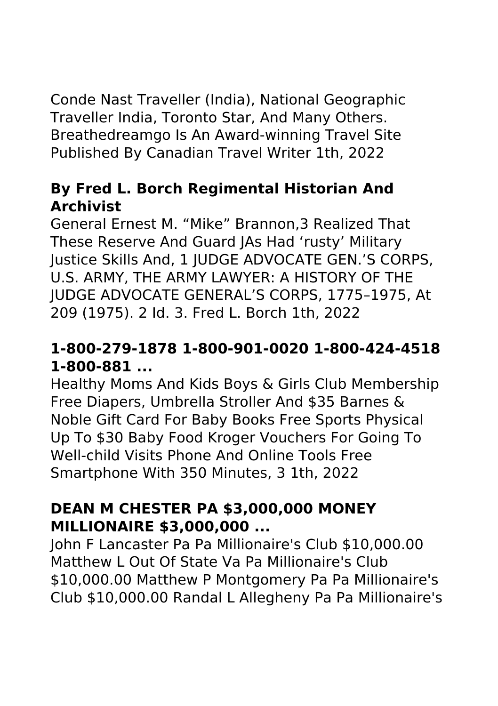Conde Nast Traveller (India), National Geographic Traveller India, Toronto Star, And Many Others. Breathedreamgo Is An Award-winning Travel Site Published By Canadian Travel Writer 1th, 2022

#### **By Fred L. Borch Regimental Historian And Archivist**

General Ernest M. "Mike" Brannon,3 Realized That These Reserve And Guard JAs Had 'rusty' Military Justice Skills And, 1 JUDGE ADVOCATE GEN.'S CORPS, U.S. ARMY, THE ARMY LAWYER: A HISTORY OF THE JUDGE ADVOCATE GENERAL'S CORPS, 1775–1975, At 209 (1975). 2 Id. 3. Fred L. Borch 1th, 2022

### **1-800-279-1878 1-800-901-0020 1-800-424-4518 1-800-881 ...**

Healthy Moms And Kids Boys & Girls Club Membership Free Diapers, Umbrella Stroller And \$35 Barnes & Noble Gift Card For Baby Books Free Sports Physical Up To \$30 Baby Food Kroger Vouchers For Going To Well-child Visits Phone And Online Tools Free Smartphone With 350 Minutes, 3 1th, 2022

#### **DEAN M CHESTER PA \$3,000,000 MONEY MILLIONAIRE \$3,000,000 ...**

John F Lancaster Pa Pa Millionaire's Club \$10,000.00 Matthew L Out Of State Va Pa Millionaire's Club \$10,000.00 Matthew P Montgomery Pa Pa Millionaire's Club \$10,000.00 Randal L Allegheny Pa Pa Millionaire's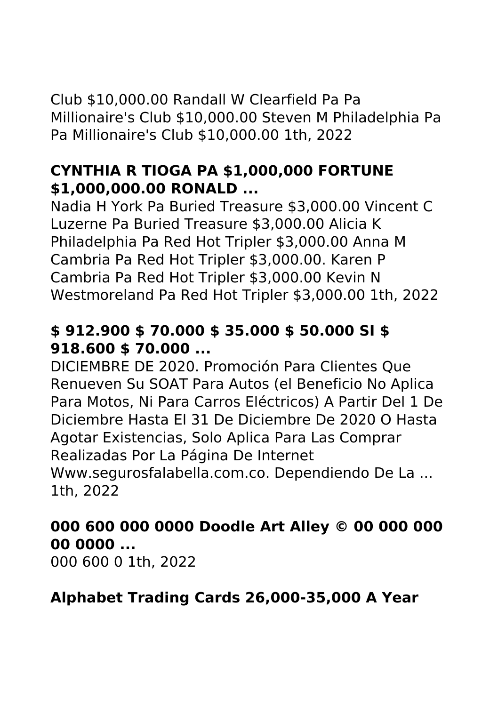Club \$10,000.00 Randall W Clearfield Pa Pa Millionaire's Club \$10,000.00 Steven M Philadelphia Pa Pa Millionaire's Club \$10,000.00 1th, 2022

### **CYNTHIA R TIOGA PA \$1,000,000 FORTUNE \$1,000,000.00 RONALD ...**

Nadia H York Pa Buried Treasure \$3,000.00 Vincent C Luzerne Pa Buried Treasure \$3,000.00 Alicia K Philadelphia Pa Red Hot Tripler \$3,000.00 Anna M Cambria Pa Red Hot Tripler \$3,000.00. Karen P Cambria Pa Red Hot Tripler \$3,000.00 Kevin N Westmoreland Pa Red Hot Tripler \$3,000.00 1th, 2022

# **\$ 912.900 \$ 70.000 \$ 35.000 \$ 50.000 SI \$ 918.600 \$ 70.000 ...**

DICIEMBRE DE 2020. Promoción Para Clientes Que Renueven Su SOAT Para Autos (el Beneficio No Aplica Para Motos, Ni Para Carros Eléctricos) A Partir Del 1 De Diciembre Hasta El 31 De Diciembre De 2020 O Hasta Agotar Existencias, Solo Aplica Para Las Comprar Realizadas Por La Página De Internet Www.segurosfalabella.com.co. Dependiendo De La ... 1th, 2022

# **000 600 000 0000 Doodle Art Alley © 00 000 000 00 0000 ...**

000 600 0 1th, 2022

# **Alphabet Trading Cards 26,000-35,000 A Year**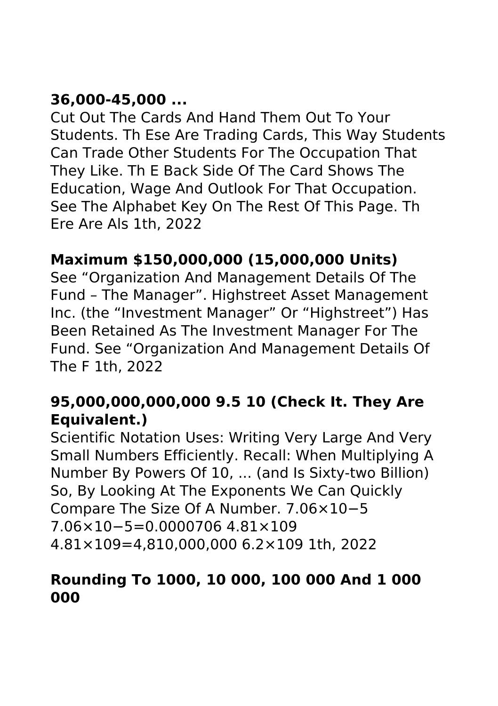# **36,000-45,000 ...**

Cut Out The Cards And Hand Them Out To Your Students. Th Ese Are Trading Cards, This Way Students Can Trade Other Students For The Occupation That They Like. Th E Back Side Of The Card Shows The Education, Wage And Outlook For That Occupation. See The Alphabet Key On The Rest Of This Page. Th Ere Are Als 1th, 2022

# **Maximum \$150,000,000 (15,000,000 Units)**

See "Organization And Management Details Of The Fund – The Manager". Highstreet Asset Management Inc. (the "Investment Manager" Or "Highstreet") Has Been Retained As The Investment Manager For The Fund. See "Organization And Management Details Of The F 1th, 2022

# **95,000,000,000,000 9.5 10 (Check It. They Are Equivalent.)**

Scientific Notation Uses: Writing Very Large And Very Small Numbers Efficiently. Recall: When Multiplying A Number By Powers Of 10, ... (and Is Sixty-two Billion) So, By Looking At The Exponents We Can Quickly Compare The Size Of A Number. 7.06×10−5 7.06×10−5=0.0000706 4.81×109 4.81×109=4,810,000,000 6.2×109 1th, 2022

#### **Rounding To 1000, 10 000, 100 000 And 1 000 000**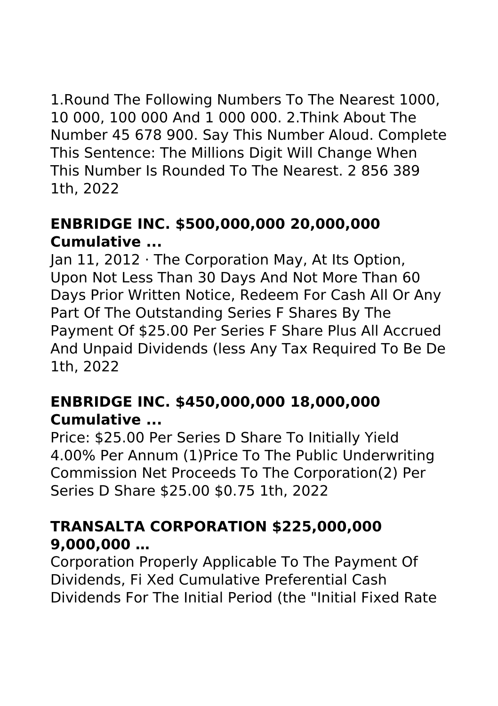1.Round The Following Numbers To The Nearest 1000, 10 000, 100 000 And 1 000 000. 2.Think About The Number 45 678 900. Say This Number Aloud. Complete This Sentence: The Millions Digit Will Change When This Number Is Rounded To The Nearest. 2 856 389 1th, 2022

### **ENBRIDGE INC. \$500,000,000 20,000,000 Cumulative ...**

Jan 11, 2012 · The Corporation May, At Its Option, Upon Not Less Than 30 Days And Not More Than 60 Days Prior Written Notice, Redeem For Cash All Or Any Part Of The Outstanding Series F Shares By The Payment Of \$25.00 Per Series F Share Plus All Accrued And Unpaid Dividends (less Any Tax Required To Be De 1th, 2022

### **ENBRIDGE INC. \$450,000,000 18,000,000 Cumulative ...**

Price: \$25.00 Per Series D Share To Initially Yield 4.00% Per Annum (1)Price To The Public Underwriting Commission Net Proceeds To The Corporation(2) Per Series D Share \$25.00 \$0.75 1th, 2022

### **TRANSALTA CORPORATION \$225,000,000 9,000,000 …**

Corporation Properly Applicable To The Payment Of Dividends, Fi Xed Cumulative Preferential Cash Dividends For The Initial Period (the "Initial Fixed Rate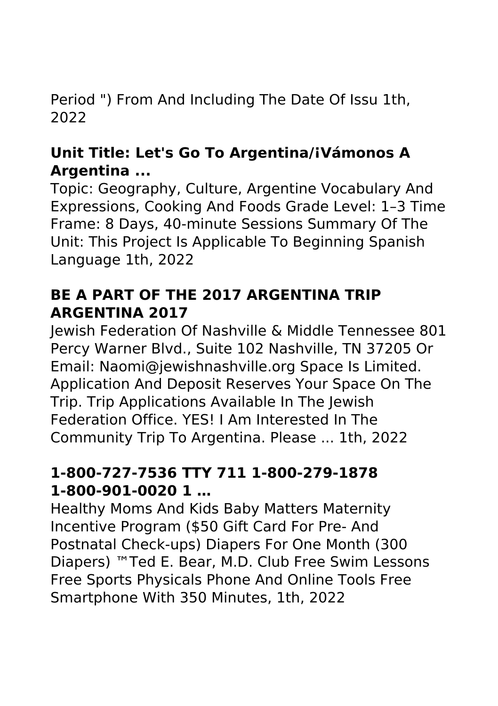Period ") From And Including The Date Of Issu 1th, 2022

### **Unit Title: Let's Go To Argentina/¡Vámonos A Argentina ...**

Topic: Geography, Culture, Argentine Vocabulary And Expressions, Cooking And Foods Grade Level: 1–3 Time Frame: 8 Days, 40‐minute Sessions Summary Of The Unit: This Project Is Applicable To Beginning Spanish Language 1th, 2022

### **BE A PART OF THE 2017 ARGENTINA TRIP ARGENTINA 2017**

Jewish Federation Of Nashville & Middle Tennessee 801 Percy Warner Blvd., Suite 102 Nashville, TN 37205 Or Email: Naomi@jewishnashville.org Space Is Limited. Application And Deposit Reserves Your Space On The Trip. Trip Applications Available In The Jewish Federation Office. YES! I Am Interested In The Community Trip To Argentina. Please ... 1th, 2022

### **1-800-727-7536 TTY 711 1-800-279-1878 1-800-901-0020 1 …**

Healthy Moms And Kids Baby Matters Maternity Incentive Program (\$50 Gift Card For Pre- And Postnatal Check-ups) Diapers For One Month (300 Diapers) ™Ted E. Bear, M.D. Club Free Swim Lessons Free Sports Physicals Phone And Online Tools Free Smartphone With 350 Minutes, 1th, 2022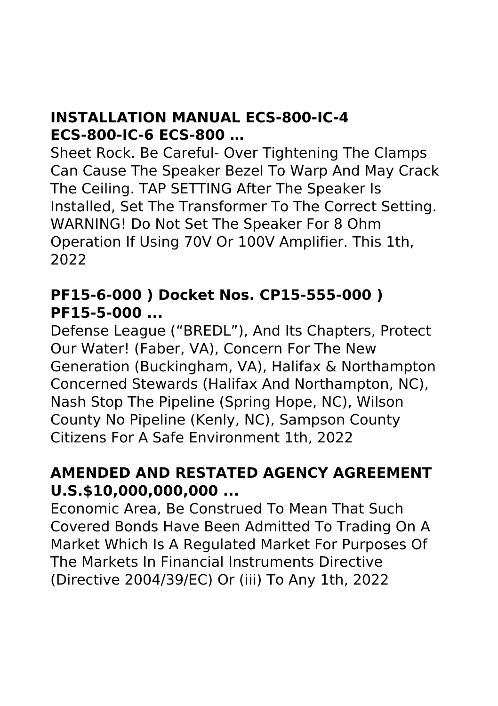#### **INSTALLATION MANUAL ECS-800-IC-4 ECS-800-IC-6 ECS-800 …**

Sheet Rock. Be Careful- Over Tightening The Clamps Can Cause The Speaker Bezel To Warp And May Crack The Ceiling. TAP SETTING After The Speaker Is Installed, Set The Transformer To The Correct Setting. WARNING! Do Not Set The Speaker For 8 Ohm Operation If Using 70V Or 100V Amplifier. This 1th, 2022

### **PF15-6-000 ) Docket Nos. CP15-555-000 ) PF15-5-000 ...**

Defense League ("BREDL"), And Its Chapters, Protect Our Water! (Faber, VA), Concern For The New Generation (Buckingham, VA), Halifax & Northampton Concerned Stewards (Halifax And Northampton, NC), Nash Stop The Pipeline (Spring Hope, NC), Wilson County No Pipeline (Kenly, NC), Sampson County Citizens For A Safe Environment 1th, 2022

#### **AMENDED AND RESTATED AGENCY AGREEMENT U.S.\$10,000,000,000 ...**

Economic Area, Be Construed To Mean That Such Covered Bonds Have Been Admitted To Trading On A Market Which Is A Regulated Market For Purposes Of The Markets In Financial Instruments Directive (Directive 2004/39/EC) Or (iii) To Any 1th, 2022